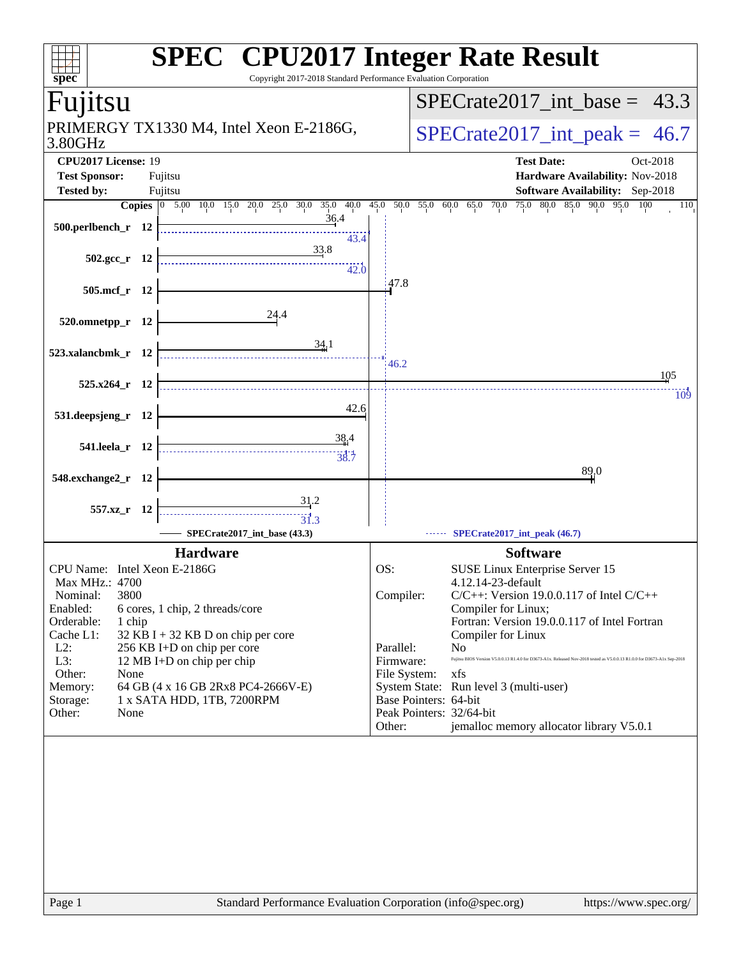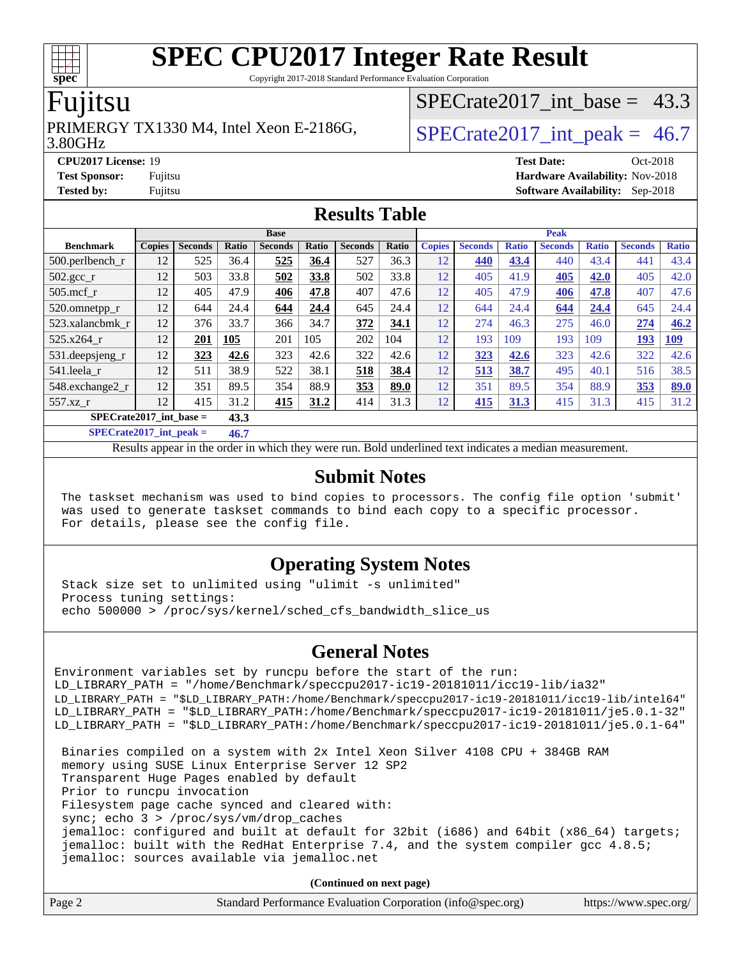Copyright 2017-2018 Standard Performance Evaluation Corporation

### Fujitsu

#### 3.80GHz PRIMERGY TX1330 M4, Intel Xeon E-2186G,  $\vert$  SPECrate2017 int peak = 46.7

SPECrate2017 int\_base =  $43.3$ 

**[CPU2017 License:](http://www.spec.org/auto/cpu2017/Docs/result-fields.html#CPU2017License)** 19 **[Test Date:](http://www.spec.org/auto/cpu2017/Docs/result-fields.html#TestDate)** Oct-2018 **[Test Sponsor:](http://www.spec.org/auto/cpu2017/Docs/result-fields.html#TestSponsor)** Fujitsu **[Hardware Availability:](http://www.spec.org/auto/cpu2017/Docs/result-fields.html#HardwareAvailability)** Nov-2018 **[Tested by:](http://www.spec.org/auto/cpu2017/Docs/result-fields.html#Testedby)** Fujitsu **[Software Availability:](http://www.spec.org/auto/cpu2017/Docs/result-fields.html#SoftwareAvailability)** Sep-2018

#### **[Results Table](http://www.spec.org/auto/cpu2017/Docs/result-fields.html#ResultsTable)**

|                           | <b>Base</b>   |                |       |                | <b>Peak</b> |                |       |               |                |              |                |              |                |              |
|---------------------------|---------------|----------------|-------|----------------|-------------|----------------|-------|---------------|----------------|--------------|----------------|--------------|----------------|--------------|
| <b>Benchmark</b>          | <b>Copies</b> | <b>Seconds</b> | Ratio | <b>Seconds</b> | Ratio       | <b>Seconds</b> | Ratio | <b>Copies</b> | <b>Seconds</b> | <b>Ratio</b> | <b>Seconds</b> | <b>Ratio</b> | <b>Seconds</b> | <b>Ratio</b> |
| $500.$ perlbench_r        | 12            | 525            | 36.4  | 525            | 36.4        | 527            | 36.3  | 12            | 440            | 43.4         | 440            | 43.4         | 441            | 43.4         |
| $502.\text{gcc}_{r}$      | 12            | 503            | 33.8  | 502            | 33.8        | 502            | 33.8  | 12            | 405            | 41.9         | 405            | 42.0         | 405            | 42.0         |
| $505$ .mcf r              | 12            | 405            | 47.9  | 406            | 47.8        | 407            | 47.6  | 12            | 405            | 47.9         | 406            | 47.8         | 407            | 47.6         |
| 520.omnetpp_r             | 12            | 644            | 24.4  | 644            | 24.4        | 645            | 24.4  | 12            | 644            | 24.4         | 644            | 24.4         | 645            | 24.4         |
| 523.xalancbmk r           | 12            | 376            | 33.7  | 366            | 34.7        | 372            | 34.1  | 12            | 274            | 46.3         | 275            | 46.0         | 274            | 46.2         |
| 525.x264 r                | 12            | 201            | 105   | 201            | 105         | 202            | 104   | 12            | 193            | 109          | 193            | 109          | 193            | <u>109</u>   |
| 531.deepsjeng_r           | 12            | 323            | 42.6  | 323            | 42.6        | 322            | 42.6  | 12            | 323            | 42.6         | 323            | 42.6         | 322            | 42.6         |
| 541.leela r               | 12            | 511            | 38.9  | 522            | 38.1        | 518            | 38.4  | 12            | 513            | 38.7         | 495            | 40.1         | 516            | 38.5         |
| 548.exchange2_r           | 12            | 351            | 89.5  | 354            | 88.9        | 353            | 89.0  | 12            | 351            | 89.5         | 354            | 88.9         | 353            | 89.0         |
| 557.xz r                  | 12            | 415            | 31.2  | 415            | 31.2        | 414            | 31.3  | 12            | 415            | 31.3         | 415            | 31.3         | 415            | 31.2         |
| $SPECrate2017$ int base = |               |                | 43.3  |                |             |                |       |               |                |              |                |              |                |              |

**[SPECrate2017\\_int\\_peak =](http://www.spec.org/auto/cpu2017/Docs/result-fields.html#SPECrate2017intpeak) 46.7**

Results appear in the [order in which they were run.](http://www.spec.org/auto/cpu2017/Docs/result-fields.html#RunOrder) Bold underlined text [indicates a median measurement.](http://www.spec.org/auto/cpu2017/Docs/result-fields.html#Median)

#### **[Submit Notes](http://www.spec.org/auto/cpu2017/Docs/result-fields.html#SubmitNotes)**

 The taskset mechanism was used to bind copies to processors. The config file option 'submit' was used to generate taskset commands to bind each copy to a specific processor. For details, please see the config file.

#### **[Operating System Notes](http://www.spec.org/auto/cpu2017/Docs/result-fields.html#OperatingSystemNotes)**

 Stack size set to unlimited using "ulimit -s unlimited" Process tuning settings: echo 500000 > /proc/sys/kernel/sched\_cfs\_bandwidth\_slice\_us

#### **[General Notes](http://www.spec.org/auto/cpu2017/Docs/result-fields.html#GeneralNotes)**

Environment variables set by runcpu before the start of the run: LD\_LIBRARY\_PATH = "/home/Benchmark/speccpu2017-ic19-20181011/icc19-lib/ia32" LD\_LIBRARY\_PATH = "\$LD\_LIBRARY\_PATH:/home/Benchmark/speccpu2017-ic19-20181011/icc19-lib/intel64" LD\_LIBRARY\_PATH = "\$LD\_LIBRARY\_PATH:/home/Benchmark/speccpu2017-ic19-20181011/je5.0.1-32" LD\_LIBRARY\_PATH = "\$LD\_LIBRARY\_PATH:/home/Benchmark/speccpu2017-ic19-20181011/je5.0.1-64"

 Binaries compiled on a system with 2x Intel Xeon Silver 4108 CPU + 384GB RAM memory using SUSE Linux Enterprise Server 12 SP2 Transparent Huge Pages enabled by default Prior to runcpu invocation Filesystem page cache synced and cleared with: sync; echo 3 > /proc/sys/vm/drop\_caches jemalloc: configured and built at default for 32bit (i686) and 64bit (x86\_64) targets; jemalloc: built with the RedHat Enterprise 7.4, and the system compiler gcc 4.8.5; jemalloc: sources available via jemalloc.net

**(Continued on next page)**

| Page 2 | Standard Performance Evaluation Corporation (info@spec.org) | https://www.spec.org/ |
|--------|-------------------------------------------------------------|-----------------------|
|        |                                                             |                       |

**[spec](http://www.spec.org/)**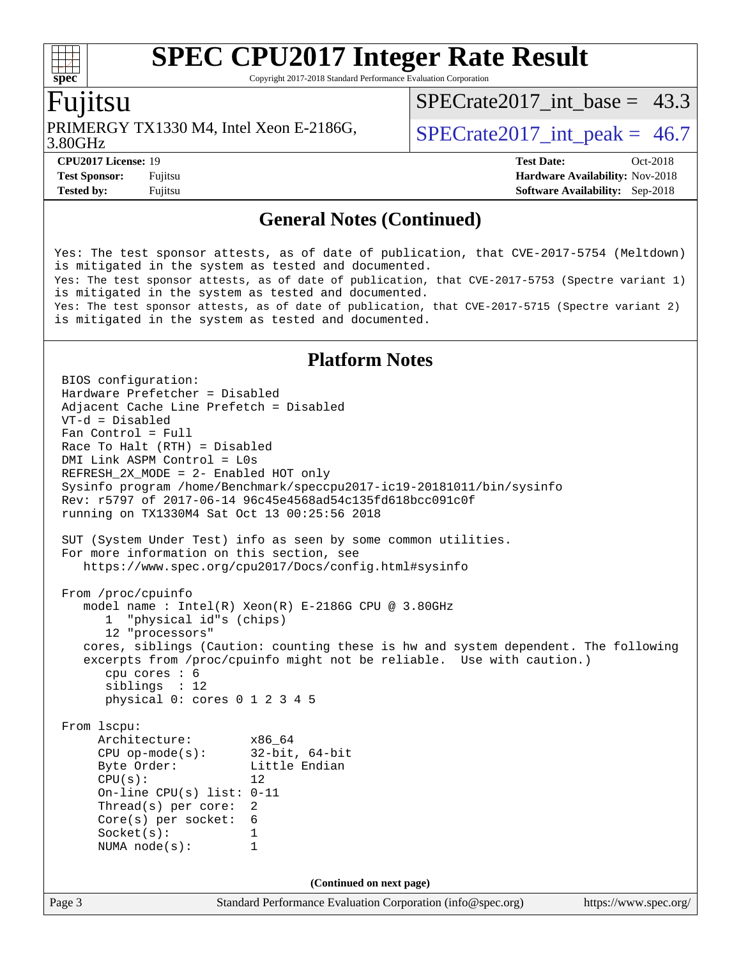Copyright 2017-2018 Standard Performance Evaluation Corporation

### Fujitsu

3.80GHz PRIMERGY TX1330 M4, Intel Xeon E-2186G,  $\vert$  SPECrate2017 int peak = 46.7

SPECrate2017 int\_base =  $43.3$ 

**[Tested by:](http://www.spec.org/auto/cpu2017/Docs/result-fields.html#Testedby)** Fujitsu **[Software Availability:](http://www.spec.org/auto/cpu2017/Docs/result-fields.html#SoftwareAvailability)** Sep-2018

**[CPU2017 License:](http://www.spec.org/auto/cpu2017/Docs/result-fields.html#CPU2017License)** 19 **[Test Date:](http://www.spec.org/auto/cpu2017/Docs/result-fields.html#TestDate)** Oct-2018 **[Test Sponsor:](http://www.spec.org/auto/cpu2017/Docs/result-fields.html#TestSponsor)** Fujitsu **[Hardware Availability:](http://www.spec.org/auto/cpu2017/Docs/result-fields.html#HardwareAvailability)** Nov-2018

#### **[General Notes \(Continued\)](http://www.spec.org/auto/cpu2017/Docs/result-fields.html#GeneralNotes)**

Yes: The test sponsor attests, as of date of publication, that CVE-2017-5754 (Meltdown) is mitigated in the system as tested and documented. Yes: The test sponsor attests, as of date of publication, that CVE-2017-5753 (Spectre variant 1) is mitigated in the system as tested and documented. Yes: The test sponsor attests, as of date of publication, that CVE-2017-5715 (Spectre variant 2) is mitigated in the system as tested and documented.

#### **[Platform Notes](http://www.spec.org/auto/cpu2017/Docs/result-fields.html#PlatformNotes)**

Page 3 Standard Performance Evaluation Corporation [\(info@spec.org\)](mailto:info@spec.org) <https://www.spec.org/> BIOS configuration: Hardware Prefetcher = Disabled Adjacent Cache Line Prefetch = Disabled VT-d = Disabled Fan Control = Full Race To Halt (RTH) = Disabled DMI Link ASPM Control = L0s REFRESH\_2X\_MODE = 2- Enabled HOT only Sysinfo program /home/Benchmark/speccpu2017-ic19-20181011/bin/sysinfo Rev: r5797 of 2017-06-14 96c45e4568ad54c135fd618bcc091c0f running on TX1330M4 Sat Oct 13 00:25:56 2018 SUT (System Under Test) info as seen by some common utilities. For more information on this section, see <https://www.spec.org/cpu2017/Docs/config.html#sysinfo> From /proc/cpuinfo model name : Intel(R) Xeon(R) E-2186G CPU @ 3.80GHz 1 "physical id"s (chips) 12 "processors" cores, siblings (Caution: counting these is hw and system dependent. The following excerpts from /proc/cpuinfo might not be reliable. Use with caution.) cpu cores : 6 siblings : 12 physical 0: cores 0 1 2 3 4 5 From lscpu: Architecture: x86\_64<br>
CPU op-mode(s): 32-bit, 64-bit CPU op-mode $(s)$ : Byte Order: Little Endian  $CPU(s):$  12 On-line CPU(s) list: 0-11 Thread(s) per core: 2 Core(s) per socket: 6 Socket(s): 1 NUMA node(s): 1 **(Continued on next page)**

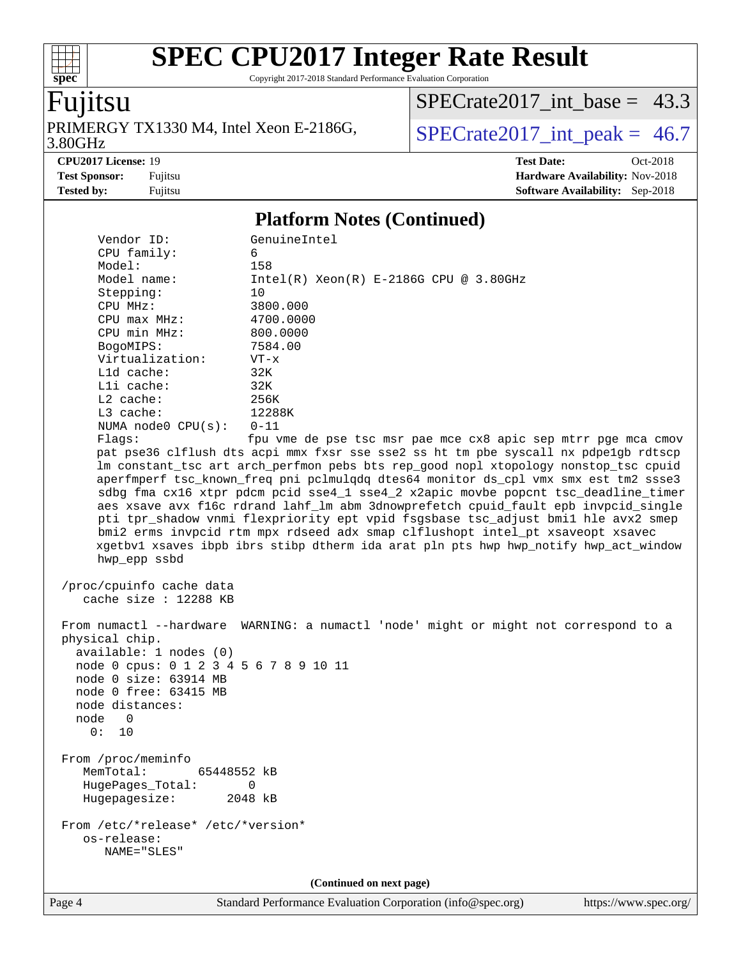Copyright 2017-2018 Standard Performance Evaluation Corporation

# Fujitsu

**[spec](http://www.spec.org/)**

 $+\ +$ 

PRIMERGY TX1330 M4, Intel Xeon E-2186G, 3.80GHz

[SPECrate2017\\_int\\_base =](http://www.spec.org/auto/cpu2017/Docs/result-fields.html#SPECrate2017intbase) 43.3

 $SPECrate2017\_int\_peak = 46.7$ 

**[CPU2017 License:](http://www.spec.org/auto/cpu2017/Docs/result-fields.html#CPU2017License)** 19 **[Test Date:](http://www.spec.org/auto/cpu2017/Docs/result-fields.html#TestDate)** Oct-2018 **[Test Sponsor:](http://www.spec.org/auto/cpu2017/Docs/result-fields.html#TestSponsor)** Fujitsu **[Hardware Availability:](http://www.spec.org/auto/cpu2017/Docs/result-fields.html#HardwareAvailability)** Nov-2018 **[Tested by:](http://www.spec.org/auto/cpu2017/Docs/result-fields.html#Testedby)** Fujitsu **[Software Availability:](http://www.spec.org/auto/cpu2017/Docs/result-fields.html#SoftwareAvailability)** Sep-2018

#### **[Platform Notes \(Continued\)](http://www.spec.org/auto/cpu2017/Docs/result-fields.html#PlatformNotes)**

| Vendor ID:                                                                                                                                                                                           | GenuineIntel                                                                                                                                                                                                                                                                                                                                                                                                                                                                                                                                                                                                                                                                                              |
|------------------------------------------------------------------------------------------------------------------------------------------------------------------------------------------------------|-----------------------------------------------------------------------------------------------------------------------------------------------------------------------------------------------------------------------------------------------------------------------------------------------------------------------------------------------------------------------------------------------------------------------------------------------------------------------------------------------------------------------------------------------------------------------------------------------------------------------------------------------------------------------------------------------------------|
| CPU family:                                                                                                                                                                                          | 6                                                                                                                                                                                                                                                                                                                                                                                                                                                                                                                                                                                                                                                                                                         |
| Model:                                                                                                                                                                                               | 158                                                                                                                                                                                                                                                                                                                                                                                                                                                                                                                                                                                                                                                                                                       |
| Model name:                                                                                                                                                                                          | $Intel(R) Xeon(R) E-2186G CPU @ 3.80GHz$                                                                                                                                                                                                                                                                                                                                                                                                                                                                                                                                                                                                                                                                  |
| Stepping:                                                                                                                                                                                            | 10                                                                                                                                                                                                                                                                                                                                                                                                                                                                                                                                                                                                                                                                                                        |
| CPU MHz:                                                                                                                                                                                             | 3800.000                                                                                                                                                                                                                                                                                                                                                                                                                                                                                                                                                                                                                                                                                                  |
| $CPU$ max $MHz$ :                                                                                                                                                                                    | 4700.0000                                                                                                                                                                                                                                                                                                                                                                                                                                                                                                                                                                                                                                                                                                 |
| CPU min MHz:                                                                                                                                                                                         | 800.0000                                                                                                                                                                                                                                                                                                                                                                                                                                                                                                                                                                                                                                                                                                  |
| BogoMIPS:                                                                                                                                                                                            | 7584.00                                                                                                                                                                                                                                                                                                                                                                                                                                                                                                                                                                                                                                                                                                   |
| Virtualization:                                                                                                                                                                                      | $VT - x$                                                                                                                                                                                                                                                                                                                                                                                                                                                                                                                                                                                                                                                                                                  |
| L1d cache:                                                                                                                                                                                           | 32K                                                                                                                                                                                                                                                                                                                                                                                                                                                                                                                                                                                                                                                                                                       |
| Lli cache:                                                                                                                                                                                           | 32K                                                                                                                                                                                                                                                                                                                                                                                                                                                                                                                                                                                                                                                                                                       |
| L2 cache:                                                                                                                                                                                            | 256K                                                                                                                                                                                                                                                                                                                                                                                                                                                                                                                                                                                                                                                                                                      |
| L3 cache:                                                                                                                                                                                            | 12288K                                                                                                                                                                                                                                                                                                                                                                                                                                                                                                                                                                                                                                                                                                    |
| NUMA $node0$ $CPU(s):$                                                                                                                                                                               | $0 - 11$                                                                                                                                                                                                                                                                                                                                                                                                                                                                                                                                                                                                                                                                                                  |
| Flags:                                                                                                                                                                                               | fpu vme de pse tsc msr pae mce cx8 apic sep mtrr pge mca cmov                                                                                                                                                                                                                                                                                                                                                                                                                                                                                                                                                                                                                                             |
| hwp_epp ssbd                                                                                                                                                                                         | pat pse36 clflush dts acpi mmx fxsr sse sse2 ss ht tm pbe syscall nx pdpelgb rdtscp<br>lm constant_tsc art arch_perfmon pebs bts rep_good nopl xtopology nonstop_tsc cpuid<br>aperfmperf tsc_known_freq pni pclmulqdq dtes64 monitor ds_cpl vmx smx est tm2 ssse3<br>sdbg fma cx16 xtpr pdcm pcid sse4_1 sse4_2 x2apic movbe popcnt tsc_deadline_timer<br>aes xsave avx f16c rdrand lahf_lm abm 3dnowprefetch cpuid_fault epb invpcid_single<br>pti tpr_shadow vnmi flexpriority ept vpid fsgsbase tsc_adjust bmil hle avx2 smep<br>bmi2 erms invpcid rtm mpx rdseed adx smap clflushopt intel_pt xsaveopt xsavec<br>xgetbvl xsaves ibpb ibrs stibp dtherm ida arat pln pts hwp hwp_notify hwp_act_window |
| /proc/cpuinfo cache data<br>cache size : $12288$ KB                                                                                                                                                  |                                                                                                                                                                                                                                                                                                                                                                                                                                                                                                                                                                                                                                                                                                           |
| physical chip.<br>available: 1 nodes (0)<br>node 0 cpus: 0 1 2 3 4 5 6 7 8 9 10 11<br>node 0 size: 63914 MB<br>node 0 free: 63415 MB<br>node distances:<br>node<br>$\overline{\phantom{0}}$<br>0: 10 | From numactl --hardware WARNING: a numactl 'node' might or might not correspond to a                                                                                                                                                                                                                                                                                                                                                                                                                                                                                                                                                                                                                      |
| From /proc/meminfo<br>MemTotal:<br>65448552 kB<br>HugePages_Total:<br>Hugepagesize:                                                                                                                  | 0<br>2048 kB                                                                                                                                                                                                                                                                                                                                                                                                                                                                                                                                                                                                                                                                                              |
| From /etc/*release* /etc/*version*<br>os-release:<br>NAME="SLES"                                                                                                                                     |                                                                                                                                                                                                                                                                                                                                                                                                                                                                                                                                                                                                                                                                                                           |
|                                                                                                                                                                                                      | (Continued on next page)                                                                                                                                                                                                                                                                                                                                                                                                                                                                                                                                                                                                                                                                                  |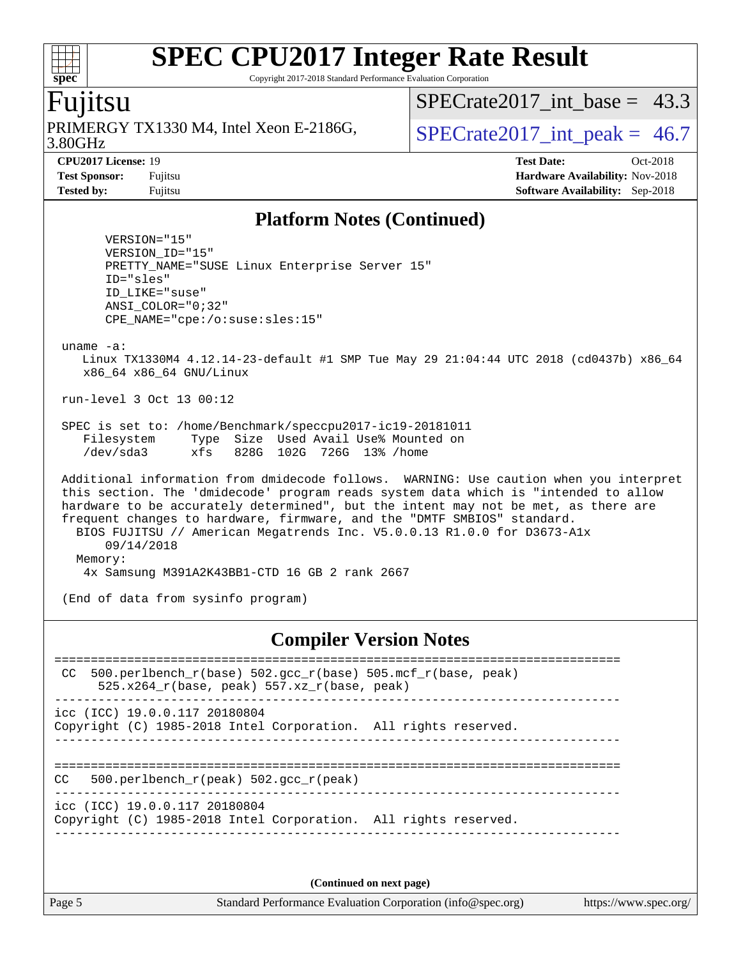Copyright 2017-2018 Standard Performance Evaluation Corporation

## Fujitsu

**[spec](http://www.spec.org/)**

3.80GHz PRIMERGY TX1330 M4, Intel Xeon E-2186G,  $\vert$  SPECrate2017 int peak = 46.7

SPECrate2017 int\_base =  $43.3$ 

**[CPU2017 License:](http://www.spec.org/auto/cpu2017/Docs/result-fields.html#CPU2017License)** 19 **[Test Date:](http://www.spec.org/auto/cpu2017/Docs/result-fields.html#TestDate)** Oct-2018 **[Test Sponsor:](http://www.spec.org/auto/cpu2017/Docs/result-fields.html#TestSponsor)** Fujitsu **[Hardware Availability:](http://www.spec.org/auto/cpu2017/Docs/result-fields.html#HardwareAvailability)** Nov-2018 **[Tested by:](http://www.spec.org/auto/cpu2017/Docs/result-fields.html#Testedby)** Fujitsu **[Software Availability:](http://www.spec.org/auto/cpu2017/Docs/result-fields.html#SoftwareAvailability)** Sep-2018

#### **[Platform Notes \(Continued\)](http://www.spec.org/auto/cpu2017/Docs/result-fields.html#PlatformNotes)**

 VERSION="15" VERSION\_ID="15" PRETTY\_NAME="SUSE Linux Enterprise Server 15" ID="sles" ID\_LIKE="suse" ANSI\_COLOR="0;32" CPE\_NAME="cpe:/o:suse:sles:15"

uname -a:

 Linux TX1330M4 4.12.14-23-default #1 SMP Tue May 29 21:04:44 UTC 2018 (cd0437b) x86\_64 x86\_64 x86\_64 GNU/Linux

run-level 3 Oct 13 00:12

 SPEC is set to: /home/Benchmark/speccpu2017-ic19-20181011 Filesystem Type Size Used Avail Use% Mounted on /dev/sda3 xfs 828G 102G 726G 13% /home

 Additional information from dmidecode follows. WARNING: Use caution when you interpret this section. The 'dmidecode' program reads system data which is "intended to allow hardware to be accurately determined", but the intent may not be met, as there are frequent changes to hardware, firmware, and the "DMTF SMBIOS" standard. BIOS FUJITSU // American Megatrends Inc. V5.0.0.13 R1.0.0 for D3673-A1x 09/14/2018 Memory: 4x Samsung M391A2K43BB1-CTD 16 GB 2 rank 2667

(End of data from sysinfo program)

#### **[Compiler Version Notes](http://www.spec.org/auto/cpu2017/Docs/result-fields.html#CompilerVersionNotes)**

| 500.perlbench_r(base) 502.gcc_r(base) 505.mcf_r(base, peak)<br>CC<br>$525.x264$ r(base, peak) 557.xz r(base, peak) |  |
|--------------------------------------------------------------------------------------------------------------------|--|
| $\text{icc}$ (ICC) 19.0.0.117 20180804<br>Copyright (C) 1985-2018 Intel Corporation. All rights reserved.          |  |
| 500.perlbench $r(\text{peak})$ 502.gcc $r(\text{peak})$<br>CC                                                      |  |
| $\text{icc}$ (ICC) 19.0.0.117 20180804<br>Copyright (C) 1985-2018 Intel Corporation. All rights reserved.          |  |
|                                                                                                                    |  |

**(Continued on next page)**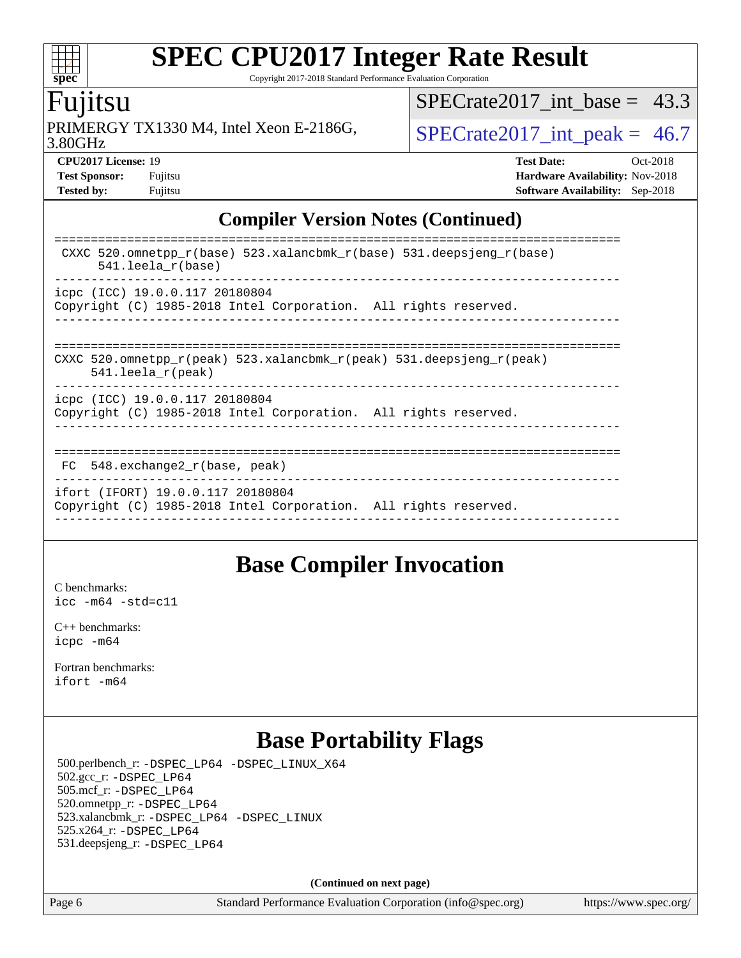Copyright 2017-2018 Standard Performance Evaluation Corporation

### Fujitsu

**[spec](http://www.spec.org/)**

 $\pm\pm\prime$ 

3.80GHz PRIMERGY TX1330 M4, Intel Xeon E-2186G,  $\vert$  [SPECrate2017\\_int\\_peak =](http://www.spec.org/auto/cpu2017/Docs/result-fields.html#SPECrate2017intpeak) 46.7

SPECrate2017 int\_base =  $43.3$ 

**[CPU2017 License:](http://www.spec.org/auto/cpu2017/Docs/result-fields.html#CPU2017License)** 19 **[Test Date:](http://www.spec.org/auto/cpu2017/Docs/result-fields.html#TestDate)** Oct-2018 **[Test Sponsor:](http://www.spec.org/auto/cpu2017/Docs/result-fields.html#TestSponsor)** Fujitsu **[Hardware Availability:](http://www.spec.org/auto/cpu2017/Docs/result-fields.html#HardwareAvailability)** Nov-2018 **[Tested by:](http://www.spec.org/auto/cpu2017/Docs/result-fields.html#Testedby)** Fujitsu **[Software Availability:](http://www.spec.org/auto/cpu2017/Docs/result-fields.html#SoftwareAvailability)** Sep-2018

#### **[Compiler Version Notes \(Continued\)](http://www.spec.org/auto/cpu2017/Docs/result-fields.html#CompilerVersionNotes)**

| CXXC 520.omnetpp $r(base)$ 523.xalancbmk $r(base)$ 531.deepsjeng $r(base)$<br>$541.$ leela r(base)                      |
|-------------------------------------------------------------------------------------------------------------------------|
| icpc (ICC) 19.0.0.117 20180804<br>Copyright (C) 1985-2018 Intel Corporation. All rights reserved.                       |
| CXXC 520.omnetpp $r(\text{peak})$ 523.xalancbmk $r(\text{peak})$ 531.deepsjeng $r(\text{peak})$<br>$541.$ leela r(peak) |
| icpc (ICC) 19.0.0.117 20180804<br>Copyright (C) 1985-2018 Intel Corporation. All rights reserved.                       |
| 548.exchange2 r(base, peak)<br>FC.                                                                                      |
| ifort (IFORT) 19.0.0.117 20180804<br>Copyright (C) 1985-2018 Intel Corporation. All rights reserved.                    |

### **[Base Compiler Invocation](http://www.spec.org/auto/cpu2017/Docs/result-fields.html#BaseCompilerInvocation)**

[C benchmarks](http://www.spec.org/auto/cpu2017/Docs/result-fields.html#Cbenchmarks): [icc -m64 -std=c11](http://www.spec.org/cpu2017/results/res2018q4/cpu2017-20181016-09255.flags.html#user_CCbase_intel_icc_64bit_c11_33ee0cdaae7deeeab2a9725423ba97205ce30f63b9926c2519791662299b76a0318f32ddfffdc46587804de3178b4f9328c46fa7c2b0cd779d7a61945c91cd35)

[C++ benchmarks:](http://www.spec.org/auto/cpu2017/Docs/result-fields.html#CXXbenchmarks) [icpc -m64](http://www.spec.org/cpu2017/results/res2018q4/cpu2017-20181016-09255.flags.html#user_CXXbase_intel_icpc_64bit_4ecb2543ae3f1412ef961e0650ca070fec7b7afdcd6ed48761b84423119d1bf6bdf5cad15b44d48e7256388bc77273b966e5eb805aefd121eb22e9299b2ec9d9)

[Fortran benchmarks](http://www.spec.org/auto/cpu2017/Docs/result-fields.html#Fortranbenchmarks): [ifort -m64](http://www.spec.org/cpu2017/results/res2018q4/cpu2017-20181016-09255.flags.html#user_FCbase_intel_ifort_64bit_24f2bb282fbaeffd6157abe4f878425411749daecae9a33200eee2bee2fe76f3b89351d69a8130dd5949958ce389cf37ff59a95e7a40d588e8d3a57e0c3fd751)

# **[Base Portability Flags](http://www.spec.org/auto/cpu2017/Docs/result-fields.html#BasePortabilityFlags)**

 500.perlbench\_r: [-DSPEC\\_LP64](http://www.spec.org/cpu2017/results/res2018q4/cpu2017-20181016-09255.flags.html#b500.perlbench_r_basePORTABILITY_DSPEC_LP64) [-DSPEC\\_LINUX\\_X64](http://www.spec.org/cpu2017/results/res2018q4/cpu2017-20181016-09255.flags.html#b500.perlbench_r_baseCPORTABILITY_DSPEC_LINUX_X64) 502.gcc\_r: [-DSPEC\\_LP64](http://www.spec.org/cpu2017/results/res2018q4/cpu2017-20181016-09255.flags.html#suite_basePORTABILITY502_gcc_r_DSPEC_LP64) 505.mcf\_r: [-DSPEC\\_LP64](http://www.spec.org/cpu2017/results/res2018q4/cpu2017-20181016-09255.flags.html#suite_basePORTABILITY505_mcf_r_DSPEC_LP64) 520.omnetpp\_r: [-DSPEC\\_LP64](http://www.spec.org/cpu2017/results/res2018q4/cpu2017-20181016-09255.flags.html#suite_basePORTABILITY520_omnetpp_r_DSPEC_LP64) 523.xalancbmk\_r: [-DSPEC\\_LP64](http://www.spec.org/cpu2017/results/res2018q4/cpu2017-20181016-09255.flags.html#suite_basePORTABILITY523_xalancbmk_r_DSPEC_LP64) [-DSPEC\\_LINUX](http://www.spec.org/cpu2017/results/res2018q4/cpu2017-20181016-09255.flags.html#b523.xalancbmk_r_baseCXXPORTABILITY_DSPEC_LINUX) 525.x264\_r: [-DSPEC\\_LP64](http://www.spec.org/cpu2017/results/res2018q4/cpu2017-20181016-09255.flags.html#suite_basePORTABILITY525_x264_r_DSPEC_LP64) 531.deepsjeng\_r: [-DSPEC\\_LP64](http://www.spec.org/cpu2017/results/res2018q4/cpu2017-20181016-09255.flags.html#suite_basePORTABILITY531_deepsjeng_r_DSPEC_LP64)

**(Continued on next page)**

Page 6 Standard Performance Evaluation Corporation [\(info@spec.org\)](mailto:info@spec.org) <https://www.spec.org/>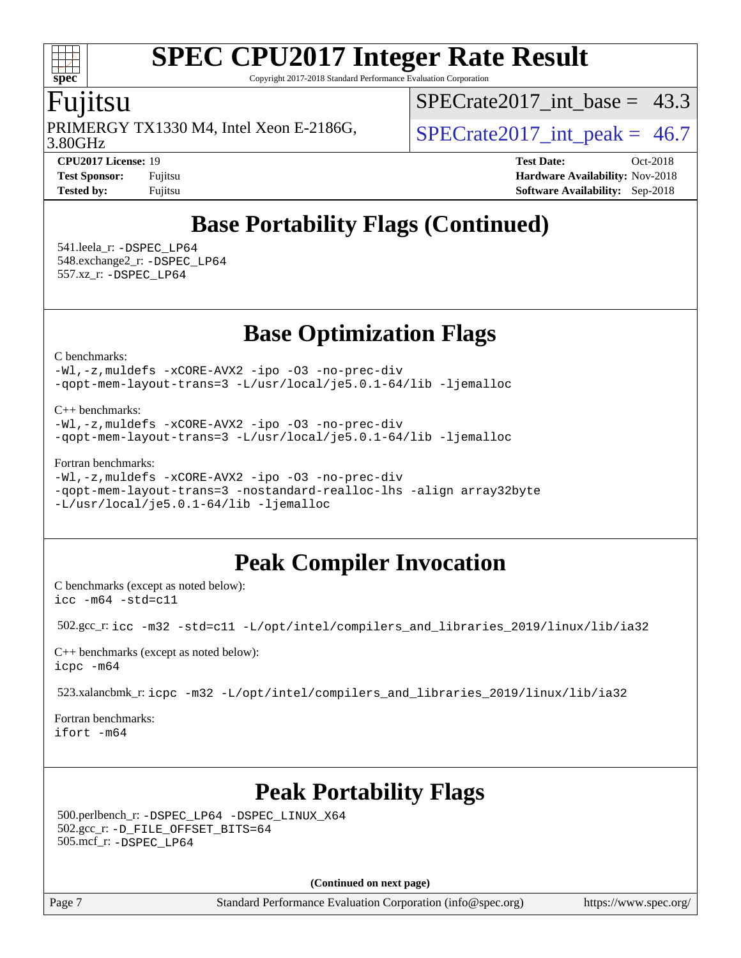Copyright 2017-2018 Standard Performance Evaluation Corporation

### Fujitsu

**[spec](http://www.spec.org/)**

3.80GHz PRIMERGY TX1330 M4, Intel Xeon E-2186G,  $\vert$  SPECrate2017 int peak = 46.7

SPECrate2017 int\_base =  $43.3$ 

**[CPU2017 License:](http://www.spec.org/auto/cpu2017/Docs/result-fields.html#CPU2017License)** 19 **[Test Date:](http://www.spec.org/auto/cpu2017/Docs/result-fields.html#TestDate)** Oct-2018 **[Test Sponsor:](http://www.spec.org/auto/cpu2017/Docs/result-fields.html#TestSponsor)** Fujitsu **[Hardware Availability:](http://www.spec.org/auto/cpu2017/Docs/result-fields.html#HardwareAvailability)** Nov-2018 **[Tested by:](http://www.spec.org/auto/cpu2017/Docs/result-fields.html#Testedby)** Fujitsu **[Software Availability:](http://www.spec.org/auto/cpu2017/Docs/result-fields.html#SoftwareAvailability)** Sep-2018

# **[Base Portability Flags \(Continued\)](http://www.spec.org/auto/cpu2017/Docs/result-fields.html#BasePortabilityFlags)**

 541.leela\_r: [-DSPEC\\_LP64](http://www.spec.org/cpu2017/results/res2018q4/cpu2017-20181016-09255.flags.html#suite_basePORTABILITY541_leela_r_DSPEC_LP64) 548.exchange2\_r: [-DSPEC\\_LP64](http://www.spec.org/cpu2017/results/res2018q4/cpu2017-20181016-09255.flags.html#suite_basePORTABILITY548_exchange2_r_DSPEC_LP64) 557.xz\_r: [-DSPEC\\_LP64](http://www.spec.org/cpu2017/results/res2018q4/cpu2017-20181016-09255.flags.html#suite_basePORTABILITY557_xz_r_DSPEC_LP64)

## **[Base Optimization Flags](http://www.spec.org/auto/cpu2017/Docs/result-fields.html#BaseOptimizationFlags)**

[C benchmarks](http://www.spec.org/auto/cpu2017/Docs/result-fields.html#Cbenchmarks):

[-Wl,-z,muldefs](http://www.spec.org/cpu2017/results/res2018q4/cpu2017-20181016-09255.flags.html#user_CCbase_link_force_multiple1_b4cbdb97b34bdee9ceefcfe54f4c8ea74255f0b02a4b23e853cdb0e18eb4525ac79b5a88067c842dd0ee6996c24547a27a4b99331201badda8798ef8a743f577) [-xCORE-AVX2](http://www.spec.org/cpu2017/results/res2018q4/cpu2017-20181016-09255.flags.html#user_CCbase_f-xCORE-AVX2) [-ipo](http://www.spec.org/cpu2017/results/res2018q4/cpu2017-20181016-09255.flags.html#user_CCbase_f-ipo) [-O3](http://www.spec.org/cpu2017/results/res2018q4/cpu2017-20181016-09255.flags.html#user_CCbase_f-O3) [-no-prec-div](http://www.spec.org/cpu2017/results/res2018q4/cpu2017-20181016-09255.flags.html#user_CCbase_f-no-prec-div) [-qopt-mem-layout-trans=3](http://www.spec.org/cpu2017/results/res2018q4/cpu2017-20181016-09255.flags.html#user_CCbase_f-qopt-mem-layout-trans_de80db37974c74b1f0e20d883f0b675c88c3b01e9d123adea9b28688d64333345fb62bc4a798493513fdb68f60282f9a726aa07f478b2f7113531aecce732043) [-L/usr/local/je5.0.1-64/lib](http://www.spec.org/cpu2017/results/res2018q4/cpu2017-20181016-09255.flags.html#user_CCbase_jemalloc_link_path64_4b10a636b7bce113509b17f3bd0d6226c5fb2346b9178c2d0232c14f04ab830f976640479e5c33dc2bcbbdad86ecfb6634cbbd4418746f06f368b512fced5394) [-ljemalloc](http://www.spec.org/cpu2017/results/res2018q4/cpu2017-20181016-09255.flags.html#user_CCbase_jemalloc_link_lib_d1249b907c500fa1c0672f44f562e3d0f79738ae9e3c4a9c376d49f265a04b9c99b167ecedbf6711b3085be911c67ff61f150a17b3472be731631ba4d0471706)

[C++ benchmarks:](http://www.spec.org/auto/cpu2017/Docs/result-fields.html#CXXbenchmarks)

[-Wl,-z,muldefs](http://www.spec.org/cpu2017/results/res2018q4/cpu2017-20181016-09255.flags.html#user_CXXbase_link_force_multiple1_b4cbdb97b34bdee9ceefcfe54f4c8ea74255f0b02a4b23e853cdb0e18eb4525ac79b5a88067c842dd0ee6996c24547a27a4b99331201badda8798ef8a743f577) [-xCORE-AVX2](http://www.spec.org/cpu2017/results/res2018q4/cpu2017-20181016-09255.flags.html#user_CXXbase_f-xCORE-AVX2) [-ipo](http://www.spec.org/cpu2017/results/res2018q4/cpu2017-20181016-09255.flags.html#user_CXXbase_f-ipo) [-O3](http://www.spec.org/cpu2017/results/res2018q4/cpu2017-20181016-09255.flags.html#user_CXXbase_f-O3) [-no-prec-div](http://www.spec.org/cpu2017/results/res2018q4/cpu2017-20181016-09255.flags.html#user_CXXbase_f-no-prec-div) [-qopt-mem-layout-trans=3](http://www.spec.org/cpu2017/results/res2018q4/cpu2017-20181016-09255.flags.html#user_CXXbase_f-qopt-mem-layout-trans_de80db37974c74b1f0e20d883f0b675c88c3b01e9d123adea9b28688d64333345fb62bc4a798493513fdb68f60282f9a726aa07f478b2f7113531aecce732043) [-L/usr/local/je5.0.1-64/lib](http://www.spec.org/cpu2017/results/res2018q4/cpu2017-20181016-09255.flags.html#user_CXXbase_jemalloc_link_path64_4b10a636b7bce113509b17f3bd0d6226c5fb2346b9178c2d0232c14f04ab830f976640479e5c33dc2bcbbdad86ecfb6634cbbd4418746f06f368b512fced5394) [-ljemalloc](http://www.spec.org/cpu2017/results/res2018q4/cpu2017-20181016-09255.flags.html#user_CXXbase_jemalloc_link_lib_d1249b907c500fa1c0672f44f562e3d0f79738ae9e3c4a9c376d49f265a04b9c99b167ecedbf6711b3085be911c67ff61f150a17b3472be731631ba4d0471706)

[Fortran benchmarks](http://www.spec.org/auto/cpu2017/Docs/result-fields.html#Fortranbenchmarks):

```
-Wl,-z,muldefs -xCORE-AVX2 -ipo -O3 -no-prec-div
-qopt-mem-layout-trans=3 -nostandard-realloc-lhs -align array32byte
-L/usr/local/je5.0.1-64/lib -ljemalloc
```
## **[Peak Compiler Invocation](http://www.spec.org/auto/cpu2017/Docs/result-fields.html#PeakCompilerInvocation)**

[C benchmarks \(except as noted below\)](http://www.spec.org/auto/cpu2017/Docs/result-fields.html#Cbenchmarksexceptasnotedbelow): [icc -m64 -std=c11](http://www.spec.org/cpu2017/results/res2018q4/cpu2017-20181016-09255.flags.html#user_CCpeak_intel_icc_64bit_c11_33ee0cdaae7deeeab2a9725423ba97205ce30f63b9926c2519791662299b76a0318f32ddfffdc46587804de3178b4f9328c46fa7c2b0cd779d7a61945c91cd35)

502.gcc\_r: [icc -m32 -std=c11 -L/opt/intel/compilers\\_and\\_libraries\\_2019/linux/lib/ia32](http://www.spec.org/cpu2017/results/res2018q4/cpu2017-20181016-09255.flags.html#user_peakCCLD502_gcc_r_intel_icc_359a3496d7d64e94fd241b0fefbeabeb20f8603fdc5e80014934380a87abe54d3b265a1c8de0432e5343699d5bf10187de2429efaebc896d56384bcf35c3c77d)

[C++ benchmarks \(except as noted below\):](http://www.spec.org/auto/cpu2017/Docs/result-fields.html#CXXbenchmarksexceptasnotedbelow) [icpc -m64](http://www.spec.org/cpu2017/results/res2018q4/cpu2017-20181016-09255.flags.html#user_CXXpeak_intel_icpc_64bit_4ecb2543ae3f1412ef961e0650ca070fec7b7afdcd6ed48761b84423119d1bf6bdf5cad15b44d48e7256388bc77273b966e5eb805aefd121eb22e9299b2ec9d9)

523.xalancbmk\_r: [icpc -m32 -L/opt/intel/compilers\\_and\\_libraries\\_2019/linux/lib/ia32](http://www.spec.org/cpu2017/results/res2018q4/cpu2017-20181016-09255.flags.html#user_peakCXXLD523_xalancbmk_r_intel_icpc_734b3338147624d5d6357d4d8186dbe167c0eb0ff44ddda30c08e4548af37ddd399fcaabea1b828fae60ea17548654bb05c65e01eb6a7ffb1b5faea19f35a860)

[Fortran benchmarks](http://www.spec.org/auto/cpu2017/Docs/result-fields.html#Fortranbenchmarks): [ifort -m64](http://www.spec.org/cpu2017/results/res2018q4/cpu2017-20181016-09255.flags.html#user_FCpeak_intel_ifort_64bit_24f2bb282fbaeffd6157abe4f878425411749daecae9a33200eee2bee2fe76f3b89351d69a8130dd5949958ce389cf37ff59a95e7a40d588e8d3a57e0c3fd751)

# **[Peak Portability Flags](http://www.spec.org/auto/cpu2017/Docs/result-fields.html#PeakPortabilityFlags)**

 500.perlbench\_r: [-DSPEC\\_LP64](http://www.spec.org/cpu2017/results/res2018q4/cpu2017-20181016-09255.flags.html#b500.perlbench_r_peakPORTABILITY_DSPEC_LP64) [-DSPEC\\_LINUX\\_X64](http://www.spec.org/cpu2017/results/res2018q4/cpu2017-20181016-09255.flags.html#b500.perlbench_r_peakCPORTABILITY_DSPEC_LINUX_X64) 502.gcc\_r: [-D\\_FILE\\_OFFSET\\_BITS=64](http://www.spec.org/cpu2017/results/res2018q4/cpu2017-20181016-09255.flags.html#user_peakPORTABILITY502_gcc_r_file_offset_bits_64_5ae949a99b284ddf4e95728d47cb0843d81b2eb0e18bdfe74bbf0f61d0b064f4bda2f10ea5eb90e1dcab0e84dbc592acfc5018bc955c18609f94ddb8d550002c) 505.mcf\_r: [-DSPEC\\_LP64](http://www.spec.org/cpu2017/results/res2018q4/cpu2017-20181016-09255.flags.html#suite_peakPORTABILITY505_mcf_r_DSPEC_LP64)

**(Continued on next page)**

Page 7 Standard Performance Evaluation Corporation [\(info@spec.org\)](mailto:info@spec.org) <https://www.spec.org/>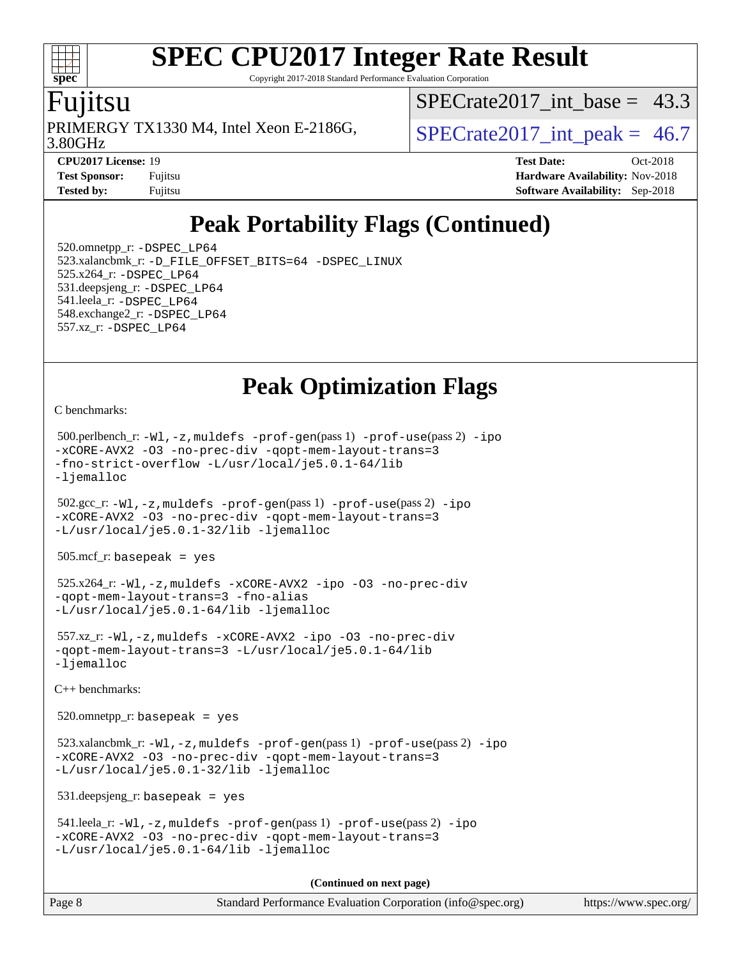Copyright 2017-2018 Standard Performance Evaluation Corporation

### u<sub>11</sub>tsu

**[spec](http://www.spec.org/)**

 $+\ +$ 

3.80GHz PRIMERGY TX1330 M4, Intel Xeon E-2186G,  $\vert$  SPECrate2017 int peak = 46.7

[SPECrate2017\\_int\\_base =](http://www.spec.org/auto/cpu2017/Docs/result-fields.html#SPECrate2017intbase) 43.3

**[CPU2017 License:](http://www.spec.org/auto/cpu2017/Docs/result-fields.html#CPU2017License)** 19 **[Test Date:](http://www.spec.org/auto/cpu2017/Docs/result-fields.html#TestDate)** Oct-2018 **[Test Sponsor:](http://www.spec.org/auto/cpu2017/Docs/result-fields.html#TestSponsor)** Fujitsu **Fundal** Fujitsu **[Hardware Availability:](http://www.spec.org/auto/cpu2017/Docs/result-fields.html#HardwareAvailability)** Nov-2018 **[Tested by:](http://www.spec.org/auto/cpu2017/Docs/result-fields.html#Testedby)** Fujitsu **[Software Availability:](http://www.spec.org/auto/cpu2017/Docs/result-fields.html#SoftwareAvailability)** Sep-2018

# **[Peak Portability Flags \(Continued\)](http://www.spec.org/auto/cpu2017/Docs/result-fields.html#PeakPortabilityFlags)**

 520.omnetpp\_r: [-DSPEC\\_LP64](http://www.spec.org/cpu2017/results/res2018q4/cpu2017-20181016-09255.flags.html#suite_peakPORTABILITY520_omnetpp_r_DSPEC_LP64) 523.xalancbmk\_r: [-D\\_FILE\\_OFFSET\\_BITS=64](http://www.spec.org/cpu2017/results/res2018q4/cpu2017-20181016-09255.flags.html#user_peakPORTABILITY523_xalancbmk_r_file_offset_bits_64_5ae949a99b284ddf4e95728d47cb0843d81b2eb0e18bdfe74bbf0f61d0b064f4bda2f10ea5eb90e1dcab0e84dbc592acfc5018bc955c18609f94ddb8d550002c) [-DSPEC\\_LINUX](http://www.spec.org/cpu2017/results/res2018q4/cpu2017-20181016-09255.flags.html#b523.xalancbmk_r_peakCXXPORTABILITY_DSPEC_LINUX) 525.x264\_r: [-DSPEC\\_LP64](http://www.spec.org/cpu2017/results/res2018q4/cpu2017-20181016-09255.flags.html#suite_peakPORTABILITY525_x264_r_DSPEC_LP64) 531.deepsjeng\_r: [-DSPEC\\_LP64](http://www.spec.org/cpu2017/results/res2018q4/cpu2017-20181016-09255.flags.html#suite_peakPORTABILITY531_deepsjeng_r_DSPEC_LP64) 541.leela\_r: [-DSPEC\\_LP64](http://www.spec.org/cpu2017/results/res2018q4/cpu2017-20181016-09255.flags.html#suite_peakPORTABILITY541_leela_r_DSPEC_LP64) 548.exchange2\_r: [-DSPEC\\_LP64](http://www.spec.org/cpu2017/results/res2018q4/cpu2017-20181016-09255.flags.html#suite_peakPORTABILITY548_exchange2_r_DSPEC_LP64) 557.xz\_r: [-DSPEC\\_LP64](http://www.spec.org/cpu2017/results/res2018q4/cpu2017-20181016-09255.flags.html#suite_peakPORTABILITY557_xz_r_DSPEC_LP64)

# **[Peak Optimization Flags](http://www.spec.org/auto/cpu2017/Docs/result-fields.html#PeakOptimizationFlags)**

[C benchmarks](http://www.spec.org/auto/cpu2017/Docs/result-fields.html#Cbenchmarks):

```
 500.perlbench_r: -Wl,-z,muldefs -prof-gen(pass 1) -prof-use(pass 2) -ipo
-xCORE-AVX2 -O3 -no-prec-div -qopt-mem-layout-trans=3
-fno-strict-overflow -L/usr/local/je5.0.1-64/lib
-ljemalloc
 502.gcc_r: -Wl,-z,muldefs -prof-gen(pass 1) -prof-use(pass 2) -ipo
-xCORE-AVX2 -O3 -no-prec-div -qopt-mem-layout-trans=3
-L/usr/local/je5.0.1-32/lib -ljemalloc
 505.mcf_r: basepeak = yes
 525.x264_r: -Wl,-z,muldefs -xCORE-AVX2 -ipo -O3 -no-prec-div
-qopt-mem-layout-trans=3 -fno-alias
-L/usr/local/je5.0.1-64/lib -ljemalloc
 557.xz_r: -Wl,-z,muldefs -xCORE-AVX2 -ipo -O3 -no-prec-div
-qopt-mem-layout-trans=3 -L/usr/local/je5.0.1-64/lib
-ljemalloc
C++ benchmarks: 
 520.omnetpp_r: basepeak = yes
523.xalancbmk_r: -W1, -z, muldefs -prof-qen(pass 1) -prof-use-ipo-xCORE-AVX2 -O3 -no-prec-div -qopt-mem-layout-trans=3
-L/usr/local/je5.0.1-32/lib -ljemalloc
 531.deepsjeng_r: basepeak = yes
 541.leela_r: -Wl,-z,muldefs -prof-gen(pass 1) -prof-use(pass 2) -ipo
-xCORE-AVX2 -O3 -no-prec-div -qopt-mem-layout-trans=3
-L/usr/local/je5.0.1-64/lib -ljemalloc
                                      (Continued on next page)
```